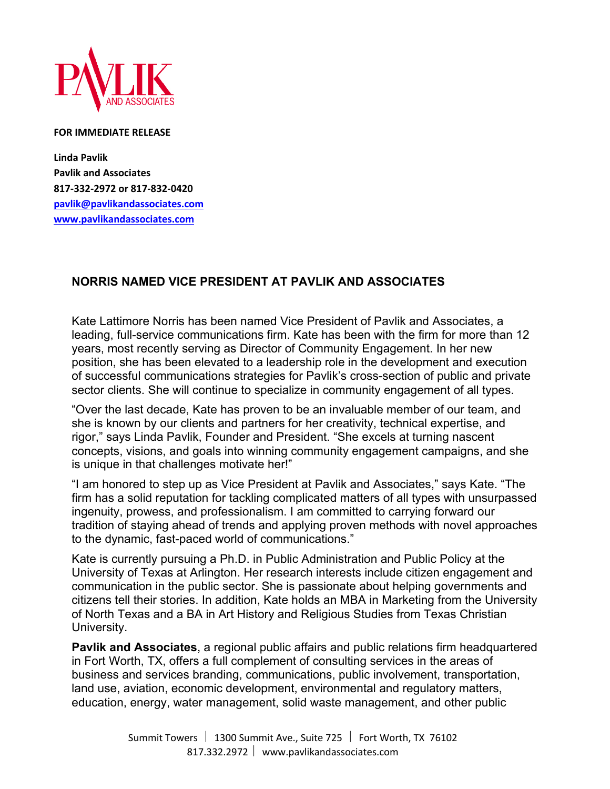

## **FOR IMMEDIATE RELEASE**

**Linda Pavlik Pavlik and Associates 817-332-2972 or 817-832-0420 pavlik@pavlikandassociates.com www.pavlikandassociates.com**

## **NORRIS NAMED VICE PRESIDENT AT PAVLIK AND ASSOCIATES**

Kate Lattimore Norris has been named Vice President of Pavlik and Associates, a leading, full-service communications firm. Kate has been with the firm for more than 12 years, most recently serving as Director of Community Engagement. In her new position, she has been elevated to a leadership role in the development and execution of successful communications strategies for Pavlik's cross-section of public and private sector clients. She will continue to specialize in community engagement of all types.

"Over the last decade, Kate has proven to be an invaluable member of our team, and she is known by our clients and partners for her creativity, technical expertise, and rigor," says Linda Pavlik, Founder and President. "She excels at turning nascent concepts, visions, and goals into winning community engagement campaigns, and she is unique in that challenges motivate her!"

"I am honored to step up as Vice President at Pavlik and Associates," says Kate. "The firm has a solid reputation for tackling complicated matters of all types with unsurpassed ingenuity, prowess, and professionalism. I am committed to carrying forward our tradition of staying ahead of trends and applying proven methods with novel approaches to the dynamic, fast-paced world of communications."

Kate is currently pursuing a Ph.D. in Public Administration and Public Policy at the University of Texas at Arlington. Her research interests include citizen engagement and communication in the public sector. She is passionate about helping governments and citizens tell their stories. In addition, Kate holds an MBA in Marketing from the University of North Texas and a BA in Art History and Religious Studies from Texas Christian University.

**Pavlik and Associates**, a regional public affairs and public relations firm headquartered in Fort Worth, TX, offers a full complement of consulting services in the areas of business and services branding, communications, public involvement, transportation, land use, aviation, economic development, environmental and regulatory matters, education, energy, water management, solid waste management, and other public